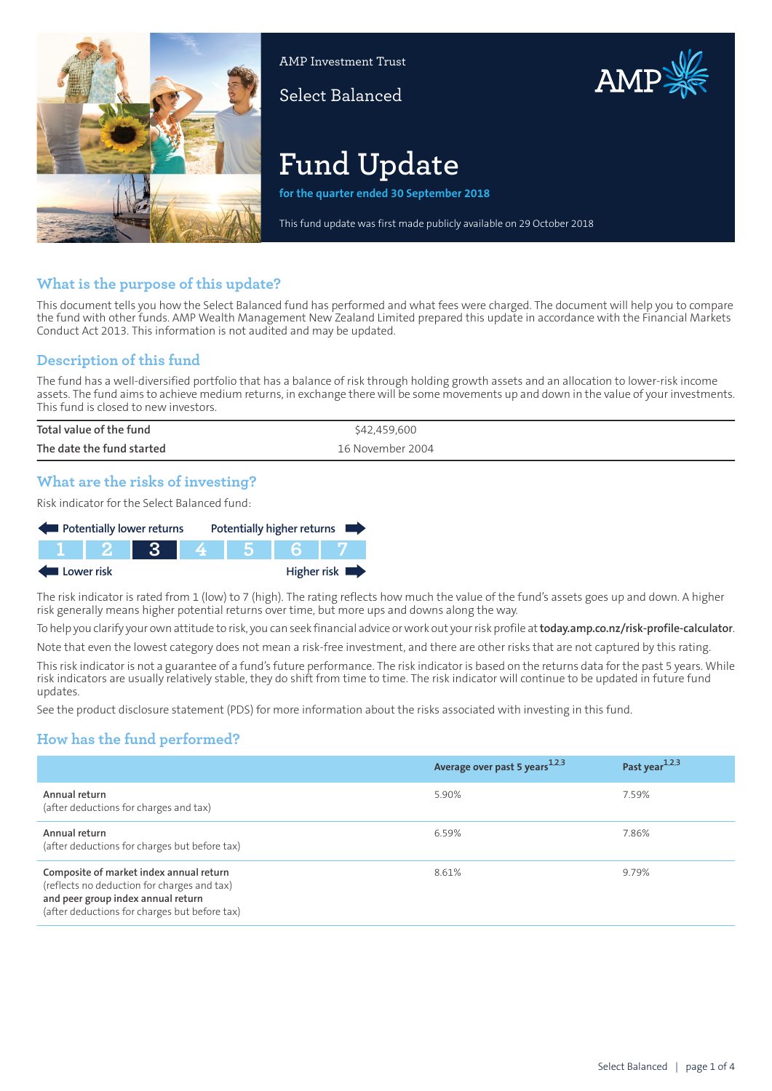

AMP Investment Trust

Select Balanced



# **Fund Update**

**for the quarter ended 30 September 2018**

This fund update was first made publicly available on 29 October 2018

## **What is the purpose of this update?**

This document tells you how the Select Balanced fund has performed and what fees were charged. The document will help you to compare the fund with other funds. AMP Wealth Management New Zealand Limited prepared this update in accordance with the Financial Markets Conduct Act 2013. This information is not audited and may be updated.

# **Description of this fund**

The fund has a well-diversified portfolio that has a balance of risk through holding growth assets and an allocation to lower-risk income assets. The fund aims to achieve medium returns, in exchange there will be some movements up and down in the value of your investments. This fund is closed to new investors.

| Total value of the fund   | \$42,459,600     |
|---------------------------|------------------|
| The date the fund started | 16 November 2004 |

## **What are the risks of investing?**

Risk indicator for the Select Balanced fund:



The risk indicator is rated from 1 (low) to 7 (high). The rating reflects how much the value of the fund's assets goes up and down. A higher risk generally means higher potential returns over time, but more ups and downs along the way.

To help you clarify your own attitude to risk, you can seek financial advice orwork out yourrisk profile at**[today.amp.co.nz/risk-profile-calculator](http://today.amp.co.nz/risk-profile-calculator)**.

Note that even the lowest category does not mean a risk-free investment, and there are other risks that are not captured by this rating.

This risk indicator is not a guarantee of a fund's future performance. The risk indicator is based on the returns data for the past 5 years. While risk indicators are usually relatively stable, they do shift from time to time. The risk indicator will continue to be updated in future fund updates.

See the product disclosure statement (PDS) for more information about the risks associated with investing in this fund.

# **How has the fund performed?**

|                                                                                                                                                                               | Average over past 5 years <sup>1,2,3</sup> | Past year <sup>1,2,3</sup> |
|-------------------------------------------------------------------------------------------------------------------------------------------------------------------------------|--------------------------------------------|----------------------------|
| Annual return<br>(after deductions for charges and tax)                                                                                                                       | 5.90%                                      | 7.59%                      |
| Annual return<br>(after deductions for charges but before tax)                                                                                                                | 6.59%                                      | 7.86%                      |
| Composite of market index annual return<br>(reflects no deduction for charges and tax)<br>and peer group index annual return<br>(after deductions for charges but before tax) | 8.61%                                      | 9.79%                      |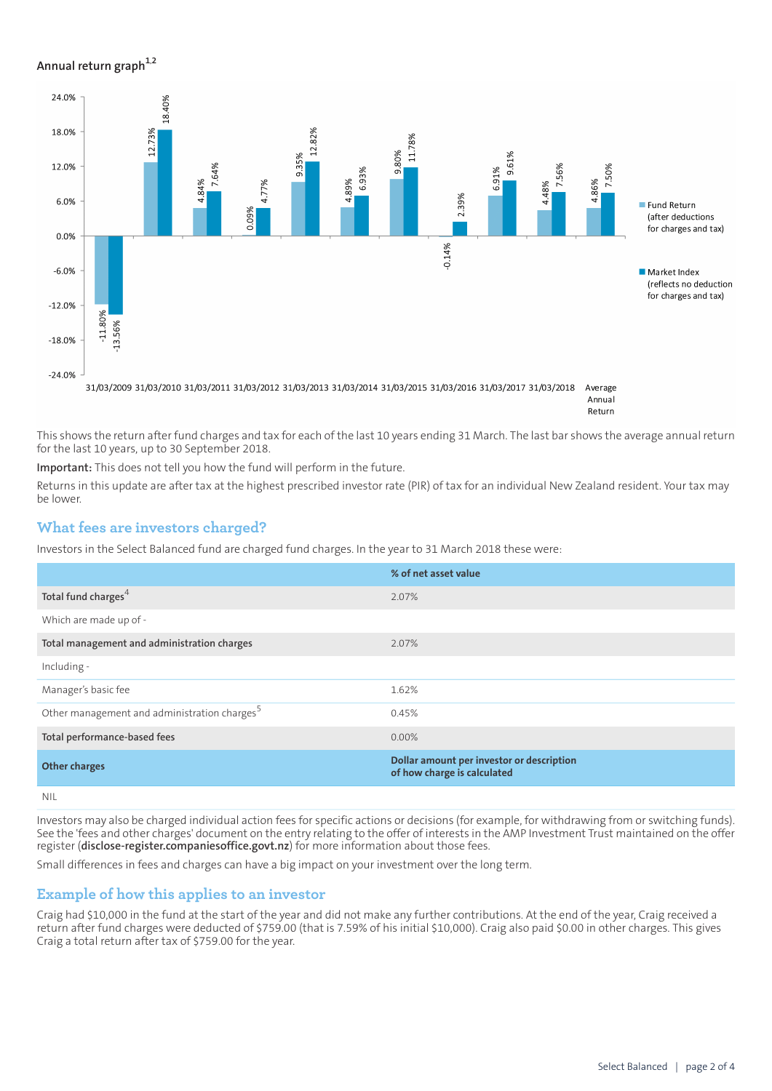## **Annual return graph[1](#page-3-0),[2](#page-3-1)**



This shows the return after fund charges and tax for each of the last 10 years ending 31 March. The last bar shows the average annual return for the last 10 years, up to 30 September 2018.

**Important:** This does not tell you how the fund will perform in the future.

Returns in this update are after tax at the highest prescribed investor rate (PIR) of tax for an individual New Zealand resident. Your tax may be lower.

## **What fees are investors charged?**

Investors in the Select Balanced fund are charged fund charges. In the year to 31 March 2018 these were:

|                                                          | % of net asset value                                                     |
|----------------------------------------------------------|--------------------------------------------------------------------------|
| Total fund charges <sup>4</sup>                          | 2.07%                                                                    |
| Which are made up of -                                   |                                                                          |
| Total management and administration charges              | 2.07%                                                                    |
| Including -                                              |                                                                          |
| Manager's basic fee                                      | 1.62%                                                                    |
| Other management and administration charges <sup>5</sup> | 0.45%                                                                    |
| Total performance-based fees                             | $0.00\%$                                                                 |
| <b>Other charges</b>                                     | Dollar amount per investor or description<br>of how charge is calculated |
|                                                          |                                                                          |

NIL

Investors may also be charged individual action fees for specific actions or decisions (for example, for withdrawing from or switching funds). See the 'fees and other charges' document on the entry relating to the offer of interests in the AMP Investment Trust maintained on the offer register (**[disclose-register.companiesoffice.govt.nz](https://disclose-register.companiesoffice.govt.nz/)**) for more information about those fees.

Small differences in fees and charges can have a big impact on your investment over the long term.

## **Example of how this applies to an investor**

Craig had \$10,000 in the fund at the start of the year and did not make any further contributions. At the end of the year, Craig received a return after fund charges were deducted of \$759.00 (that is 7.59% of his initial \$10,000). Craig also paid \$0.00 in other charges. This gives Craig a total return after tax of \$759.00 for the year.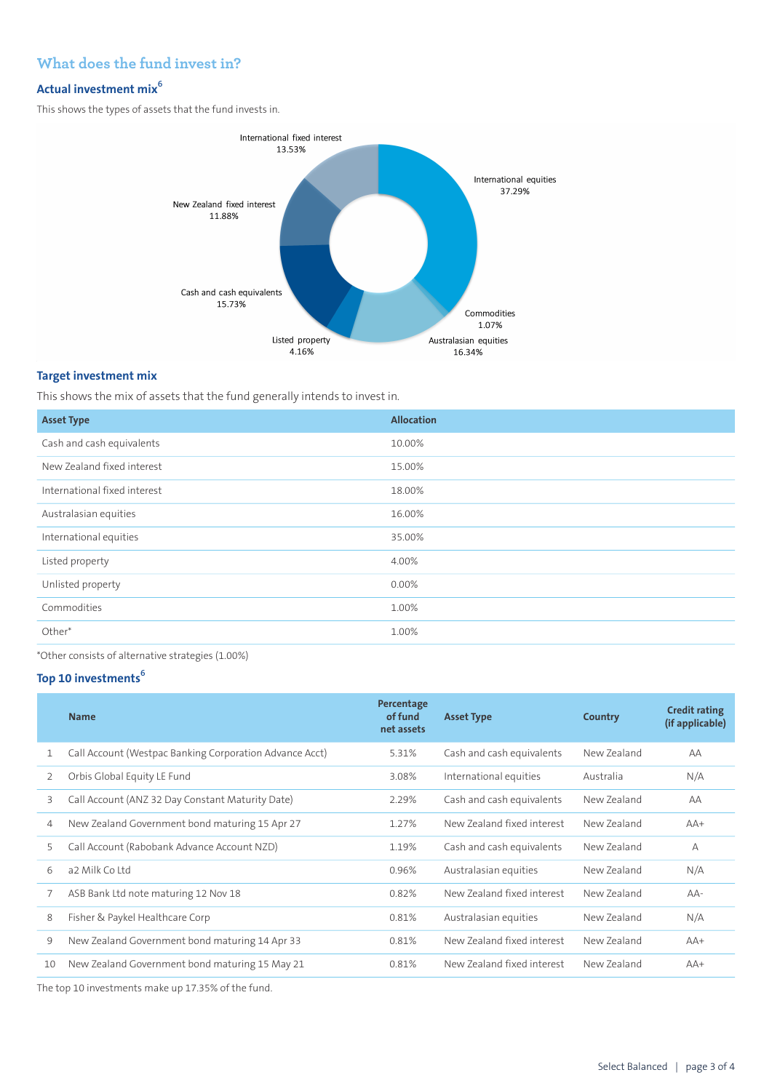# **What does the fund invest in?**

# **Actual investment mix<sup>6</sup>**

This shows the types of assets that the fund invests in.



## **Target investment mix**

This shows the mix of assets that the fund generally intends to invest in.

| <b>Asset Type</b>            | <b>Allocation</b> |
|------------------------------|-------------------|
| Cash and cash equivalents    | 10.00%            |
| New Zealand fixed interest   | 15.00%            |
| International fixed interest | 18.00%            |
| Australasian equities        | 16.00%            |
| International equities       | 35.00%            |
| Listed property              | 4.00%             |
| Unlisted property            | 0.00%             |
| Commodities                  | 1.00%             |
| Other*                       | 1.00%             |

\*Other consists of alternative strategies (1.00%)

## **Top 10 investments<sup>6</sup>**

|    | <b>Name</b>                                             | Percentage<br>of fund<br>net assets | <b>Asset Type</b>          | Country     | <b>Credit rating</b><br>(if applicable) |
|----|---------------------------------------------------------|-------------------------------------|----------------------------|-------------|-----------------------------------------|
|    | Call Account (Westpac Banking Corporation Advance Acct) | 5.31%                               | Cash and cash equivalents  | New Zealand | AA                                      |
| 2  | Orbis Global Equity LE Fund                             | 3.08%                               | International equities     | Australia   | N/A                                     |
| 3  | Call Account (ANZ 32 Day Constant Maturity Date)        | 2.29%                               | Cash and cash equivalents  | New Zealand | AA                                      |
| 4  | New Zealand Government bond maturing 15 Apr 27          | 1.27%                               | New Zealand fixed interest | New Zealand | $AA+$                                   |
| 5  | Call Account (Rabobank Advance Account NZD)             | 1.19%                               | Cash and cash equivalents  | New Zealand | $\overline{A}$                          |
| 6  | a2 Milk Co Ltd                                          | 0.96%                               | Australasian equities      | New Zealand | N/A                                     |
| 7  | ASB Bank Ltd note maturing 12 Nov 18                    | 0.82%                               | New Zealand fixed interest | New Zealand | $AA-$                                   |
| 8  | Fisher & Paykel Healthcare Corp                         | 0.81%                               | Australasian equities      | New Zealand | N/A                                     |
| 9  | New Zealand Government bond maturing 14 Apr 33          | 0.81%                               | New Zealand fixed interest | New Zealand | $AA+$                                   |
| 10 | New Zealand Government bond maturing 15 May 21          | 0.81%                               | New Zealand fixed interest | New Zealand | $AA+$                                   |
|    |                                                         |                                     |                            |             |                                         |

The top 10 investments make up 17.35% of the fund.